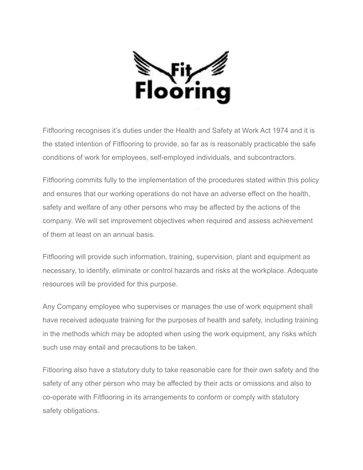

Fitflooring recognises it's duties under the Health and Safety at Work Act 1974 and it is the stated intention of Fitflooring to provide, so far as is reasonably practicable the safe conditions of work for employees, self-employed individuals, and subcontractors.

Fitflooring commits fully to the implementation of the procedures stated within this policy and ensures that our working operations do not have an adverse effect on the health, safety and welfare of any other persons who may be affected by the actions of the company. We will set improvement objectives when required and assess achievement of them at least on an annual basis.

Fitflooring will provide such information, training, supervision, plant and equipment as necessary, to identify, eliminate or control hazards and risks at the workplace. Adequate resources will be provided for this purpose.

Any Company employee who supervises or manages the use of work equipment shall have received adequate training for the purposes of health and safety, including training in the methods which may be adopted when using the work equipment, any risks which such use may entail and precautions to be taken.

Fitlooring also have a statutory duty to take reasonable care for their own safety and the safety of any other person who may be affected by their acts or omissions and also to co-operate with Fitflooring in its arrangements to conform or comply with statutory safety obligations.